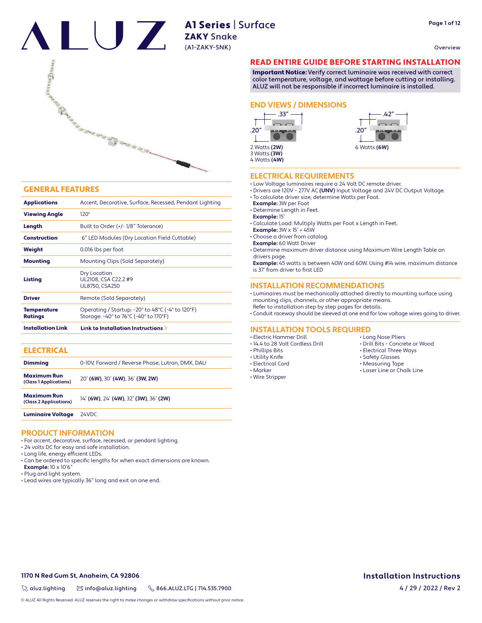Overview



#### GENERAL FEATURES

| <b>Applications</b>                  | Accent, Decorative, Surface, Recessed, Pendant Lighting                                                                   |  |  |  |  |  |  |  |  |
|--------------------------------------|---------------------------------------------------------------------------------------------------------------------------|--|--|--|--|--|--|--|--|
| <b>Viewing Angle</b>                 | $120^\circ$                                                                                                               |  |  |  |  |  |  |  |  |
| Length                               | Built to Order (+/-1/8" Tolerance)                                                                                        |  |  |  |  |  |  |  |  |
| <b>Construction</b>                  | 6" LED Modules (Dry Location Field Cuttable)                                                                              |  |  |  |  |  |  |  |  |
| Weight                               | 0.016 lbs per foot                                                                                                        |  |  |  |  |  |  |  |  |
| <b>Mounting</b>                      | Mounting Clips (Sold Separately)                                                                                          |  |  |  |  |  |  |  |  |
| Listing                              | Dry Location<br>UL2108, CSA C22.2 #9<br><b>UL8750, CSA250</b>                                                             |  |  |  |  |  |  |  |  |
| <b>Driver</b>                        | Remote (Sold Separately)                                                                                                  |  |  |  |  |  |  |  |  |
| <b>Temperature</b><br><b>Ratings</b> | Operating / Startup: $-20^\circ$ to $48^\circ$ C ( $-4^\circ$ to 120 $^\circ$ F)<br>Storage: -40° to 76°C (-40° to 170°F) |  |  |  |  |  |  |  |  |
| <b>Installation Link</b>             | Link to Installation Instructions $\geq$                                                                                  |  |  |  |  |  |  |  |  |

#### ELECTRICAL

| <b>Dimming</b>                               | 0-10V. Forward / Reverse Phase, Lutron, DMX, DALI |
|----------------------------------------------|---------------------------------------------------|
| <b>Maximum Run</b><br>(Class 1 Applications) | 20' (6W), 30' (4W), 36' (3W, 2W)                  |
| <b>Maximum Run</b><br>(Class 2 Applications) | 14' (6W), 24' (4W), 32' (3W), 36' (2W)            |
| <b>Luminaire Voltage</b>                     | 24VDC                                             |

#### **PRODUCT INFORMATION**

• For accent, decorative, surface, recessed, or pendant lighting.

• 24 volts DC for easy and safe installation.

• Long life, energy efficient LEDs.

- Can be ordered to specific lengths for when exact dimensions are known.
- **Example:** 10 x 10'6"

• Plug and light system.

• Lead wires are typically 36" long and exit on one end.

**1170 N Red Gum St, Anaheim, CA 92806**

#### READ ENTIRE GUIDE BEFORE STARTING INSTALLATION

Important Notice: Verify correct luminaire was received with correct color temperature, voltage, and wattage before cutting or installing. ALUZ will not be responsible if incorrect luminaire is installed.

#### **END VIEWS / DIMENSIONS**





6 Watts **(6W)**

#### **ELECTRICAL REQUIREMENTS**

- Low Voltage luminaires require a 24 Volt DC remote driver.
- Drivers are 120V 277V AC **(UNV)** Input Voltage and 24V DC Output Voltage.
- To calculate driver size, determine Watts per Foot.
- **Example:** 3W per Foot
- Determine Length in Feet.
- **Example:** 15'
- Calculate Load: Multiply Watts per Foot x Length in Feet.
- **Example:** 3W x 15' = 45W
- Choose a driver from catalog.
- **Example:** 60 Watt Driver
- Determine maximum driver distance using Maximum Wire Length Table on drivers page.

 **Example:** 45 watts is between 40W and 60W. Using #14 wire, maximum distance is 37' from driver to first LED

#### **INSTALLATION RECOMMENDATIONS**

• Luminaires must be mechanically attached directly to mounting surface using mounting clips, channels, or other appropriate means. Refer to installation step by step pages for details.

• Conduit raceway should be sleeved at one end for low voltage wires going to driver.

#### **INSTALLATION TOOLS REQUIRED**

- Electric Hammer Drill
- 14.4 to 28 Volt Cordless Drill
- Phillips Bits
- Utility Knife
- Electrical Cord
- Marker
- Wire Stripper
- Long Nose Pliers
- Drill Bits Concrete or Wood
- Electrical Three Ways
- Safety Glasses
- Measuring Tape
- Laser Line or Chalk Line

 $\%$  aluz.lighting  $\%$  info@aluz.lighting  $\%$  866.ALUZ.LTG | 714.535.7900

© ALUZ All Rights Reserved. ALUZ reserves the right to make changes or withdraw specifications without prior notice.

**Installation Instructions**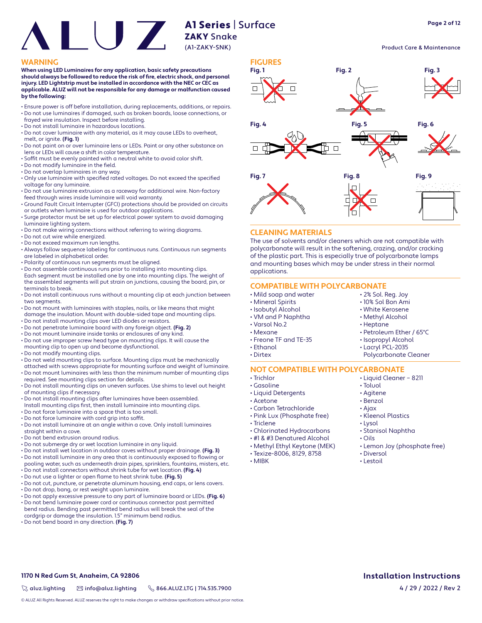**Page 2 of 12**

#### Product Care & Maintenance

**When using LED Luminaires for any application, basic safety precautions**  should always be followed to reduce the risk of fire, electric shock, and personal **injury. LED Lightstrip must be installed in accordance with the NEC or CEC as applicable. ALUZ will not be responsible for any damage or malfunction caused by the following:**

- Ensure power is off before installation, during replacements, additions, or repairs. • Do not use luminaires if damaged, such as broken boards, loose connections, or
- frayed wire insulation. Inspect before installing.
- Do not install luminaire in hazardous locations.
- Do not cover luminaire with any material, as it may cause LEDs to overheat, melt, or ignite. **(Fig. 1)**
- Do not paint on or over luminaire lens or LEDs. Paint or any other substance on lens or LEDs will cause a shift in color temperature.
- Soffit must be evenly painted with a neutral white to avoid color shift.
- $\cdot$  Do not modify luminaire in the field.
- Do not overlap luminaires in any way.
- Only use luminaire with specified rated voltages. Do not exceed the specified voltage for any luminaire.
- Do not use luminaire extrusion as a raceway for additional wire. Non-factory feed through wires inside luminaire will void warranty.
- Ground Fault Circuit Interrupter (GFCI) protections should be provided on circuits or outlets when luminaire is used for outdoor applications.
- Surge protector must be set up for electrical power system to avoid damaging luminaire lighting system.
- Do not make wiring connections without referring to wiring diagrams.
- Do not cut wire while energized.
- Do not exceed maximum run lengths.
- Always follow sequence labeling for continuous runs. Continuous run segments are labeled in alphabetical order.
- Polarity of continuous run segments must be aligned.
- Do not assemble continuous runs prior to installing into mounting clips. Each segment must be installed one by one into mounting clips. The weight of the assembled segments will put strain on junctions, causing the board, pin, or terminals to break.
- Do not install continuous runs without a mounting clip at each junction between two segments.
- Do not mount with luminaires with staples, nails, or like means that might damage the insulation. Mount with double-sided tape and mounting clips.
- Do not install mounting clips over LED diodes or resistors.
- Do not penetrate luminaire board with any foreign object. **(Fig. 2)**
- Do not mount luminaire inside tanks or enclosures of any kind.
- Do not use improper screw head type on mounting clips. It will cause the mounting clip to open up and become dysfunctional.
- Do not modify mounting clips.
- Do not weld mounting clips to surface. Mounting clips must be mechanically
- attached with screws appropriate for mounting surface and weight of luminaire. • Do not mount luminaires with less than the minimum number of mounting clips
- required. See mounting clips section for details. • Do not install mounting clips on uneven surfaces. Use shims to level out height
- of mounting clips if necessary.
- Do not install mounting clips after luminaires have been assembled. Install mounting clips first, then install luminaire into mounting clips.
- Do not force luminaire into a space that is too small.
- Do not force luminaire with cord grip into soffit.
- Do not install luminaire at an angle within a cove. Only install luminaires straight within a cove.
- Do not bend extrusion around radius.
- Do not submerge dry or wet location luminaire in any liquid.
- Do not install wet location in outdoor coves without proper drainage. **(Fig. 3)** • Do not install luminaire in any area that is continuously exposed to flowing or
- pooling water, such as underneath drain pipes, sprinklers, fountains, misters, etc. • Do not install connectors without shrink tube for wet location. **(Fig. 4)**
- Do nut use a lighter or open flame to heat shrink tube. **(Fig. 5)**
- Do not cut, puncture, or penetrate aluminum housing, end caps, or lens covers.
- Do not drop, bang, or rest weight upon luminaire.
- Do not apply excessive pressure to any part of luminaire board or LEDs. **(Fig. 6)**
- Do not bend luminaire power cord or continuous connector past permitted bend radius. Bending past permitted bend radius will break the seal of the
- cordgrip or damage the insulation. 1.5" minimum bend radius. • Do not bend board in any direction. **(Fig. 7)**



#### **CLEANING MATERIALS**

The use of solvents and/or cleaners which are not compatible with polycarbonate will result in the softening, crazing, and/or cracking of the plastic part. This is especially true of polycarbonate lamps and mounting bases which may be under stress in their normal applications.

#### **COMPATIBLE WITH POLYCARBONATE**

- Mild soap and water
- Mineral Spirits
- Isobutyl Alcohol
- VM and P Naphtha
- Varsol No.2
- Mexane
- Freone TF and TE-35
- Ethanol
- Dirtex
- 

#### **NOT COMPATIBLE WITH POLYCARBONATE**

- Trichlor
- Gasoline
- Liquid Detergents
- Acetone
- Carbon Tetrachloride
- Pink Lux (Phosphate free)
- Triclene
- Chlorinated Hydrocarbons
- #1 & #3 Denatured Alcohol
- Methyl Ethyl Keytone (MEK)
- Texize-8006, 8129, 8758
- MIBK

• Liquid Cleaner – 8211 • Toluol

• 2% Sol. Reg. Joy • 10% Sol Bon Ami • White Kerosene • Methyl Alcohol • Heptane

• Petroleum Ether / 65°C • Isopropyl Alcohol • Lacryl PCL-2035 Polycarbonate Cleaner

- Agitene
- Benzol
- Ajax
- Kleenol Plastics
- Lysol
- Stanisol Naphtha
- Oils
- Lemon Joy (phosphate free)
- Diversol
- Lestoil

**1170 N Red Gum St, Anaheim, CA 92806**

 $\%$  aluz.lighting  $\%$  info@aluz.lighting  $\%$  866.ALUZ.LTG | 714.535.7900

© ALUZ All Rights Reserved. ALUZ reserves the right to make changes or withdraw specifications without prior notice.

# **Installation Instructions**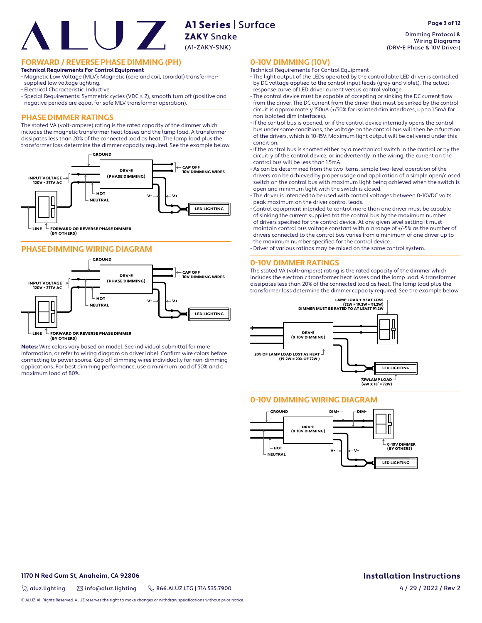# A1 Series | Surface **ZAKY** Snake

(A1-ZAKY-SNK)

#### **FORWARD / REVERSE PHASE DIMMING (PH)**

#### **Technical Requirements For Control Equipment**

• Magnetic Low Voltage (MLV): Magnetic (core and coil, toroidal) transformersupplied low voltage lighting.

- Electrical Characteristic: Inductive
- Special Requirements: Symmetric cycles (VDC ≤ 2), smooth turn off (positive and negative periods are equal for safe MLV transformer operation).

#### **PHASE DIMMER RATINGS**

The stated VA (volt-ampere) rating is the rated capacity of the dimmer which includes the magnetic transformer heat losses and the lamp load. A transformer dissipates less than 20% of the connected load as heat. The lamp load plus the transformer loss determine the dimmer capacity required. See the example below.



#### **PHASE DIMMING WIRING DIAGRAM**



 $\mathbb L$  FORWARD OR REVERSE PHASE DIMMER **(BY OTHERS) LINE**

**Notes:** Wire colors vary based on model. See individual submittal for more information, or refer to wiring diagram on driver label. Confirm wire colors before connecting to power source. Cap off dimming wires individually for non-dimming applications. For best dimming performance, use a minimum load of 50% and a maximum load of 80%.

Dimming Protocol & Wiring Diagrams (DRV-E Phase & 10V Driver)

#### **0-10V DIMMING (10V)**

- Technical Requirements For Control Equipment
- The light output of the LEDs operated by the controllable LED driver is controlled by DC voltage applied to the control input leads (gray and violet). The actual response curve of LED driver current versus control voltage.
- The control device must be capable of accepting or sinking the DC current flow from the driver. The DC current from the driver that must be sinked by the control circuit is approximately 150uA (+/50% for isolated dim interfaces, up to 1.5mA for non isolated dim interfaces).
- If the control bus is opened, or if the control device internally opens the control bus under some conditions, the voltage on the control bus will then be a function of the drivers, which is 10-15V. Maximum light output will be delivered under this condition.
- If the control bus is shorted either by a mechanical switch in the control or by the circuitry of the control device, or inadvertently in the wiring, the current on the control bus will be less than 1.5mA.
- As can be determined from the two items, simple two-level operation of the drivers can be achieved by proper usage and application of a simple open/closed switch on the control bus with maximum light being achieved when the switch is open and minimum light with the switch is closed.
- The driver is intended to be used with control voltages between 0-10VDC volts peak maximum on the driver control leads.
- Control equipment intended to control more than one driver must be capable of sinking the current supplied tot the control bus by the maximum number of drivers specified for the control device. At any given level setting it must maintain control bus voltage constant within a range of +/-5% as the number of drivers connected to the control bus varies from a minimum of one driver up to the maximum number specified for the control device.
- Driver of various ratings may be mixed on the same control system.

#### **0-10V DIMMER RATINGS**

The stated VA (volt-ampere) rating is the rated capacity of the dimmer which includes the electronic transformer heat losses and the lamp load. A transformer dissipates less than 20% of the connected load as heat. The lamp load plus the transformer loss determine the dimmer capacity required. See the example below.



#### **0-10V DIMMING WIRING DIAGRAM**



#### **1170 N Red Gum St, Anaheim, CA 92806**

 $\%$  aluz.lighting  $\%$  info@aluz.lighting  $\%$  866.ALUZ.LTG | 714.535.7900

© ALUZ All Rights Reserved. ALUZ reserves the right to make changes or withdraw specifications without prior notice

4 / 29 / 2022 / Rev 2

**Installation Instructions**

**Page 3 of 12**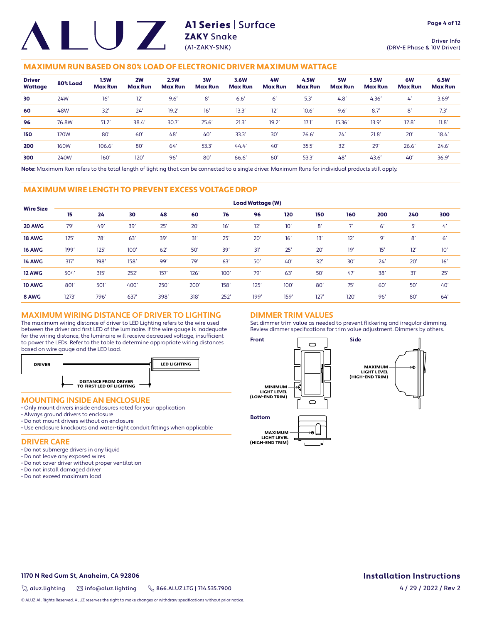**Page 4 of 12**

#### MAXIMUM RUN BASED ON 80% LOAD OF ELECTRONIC DRIVER MAXIMUM WATTAGE

| <b>Driver</b><br>Wattage | 80% Load    | 1.5W<br><b>Max Run</b> | 2W<br><b>Max Run</b> | <b>2.5W</b><br><b>Max Run</b> | 3W<br><b>Max Run</b> | 3.6W<br><b>Max Run</b> | 4 <b>W</b><br><b>Max Run</b> | 4.5W<br><b>Max Run</b> | 5W<br><b>Max Run</b> | <b>5.5W</b><br><b>Max Run</b> | 6W<br><b>Max Run</b> | 6.5W<br><b>Max Run</b> |
|--------------------------|-------------|------------------------|----------------------|-------------------------------|----------------------|------------------------|------------------------------|------------------------|----------------------|-------------------------------|----------------------|------------------------|
| 30                       | 24W         | 16'                    | 12'                  | 9.6'                          | 8'                   | 6.6'                   | 6'                           | 5.3                    | 4.8'                 | 4.36'                         | $\mathcal{L}'$       | 3.69'                  |
| 60                       | 48W         | 32'                    | 24'                  | 19.2'                         | 16'                  | 13.3'                  | 12'                          | 10.6'                  | 9.6'                 | 8.7'                          | 8'                   | 7.3'                   |
| 96                       | 76.8W       | 51.2'                  | 38.4                 | 30.7'                         | 25.6'                | 21.3'                  | 19.2'                        | 17.1                   | 15.36'               | 13.9'                         | 12.8'                | 11.8'                  |
| 150                      | <b>120W</b> | 80'                    | 60'                  | 48'                           | 40'                  | 33.3'                  | 30'                          | 26.6'                  | 24'                  | 21.8'                         | 20'                  | 18.4'                  |
| 200                      | <b>160W</b> | 106.6'                 | 80'                  | 64                            | 53.3'                | 44.4'                  | 40'                          | 35.5'                  | 32'                  | 29'                           | 26.6'                | 24.6'                  |
| 300                      | 240W        | $160^\circ$            | 120 <sup>°</sup>     | 96'                           | 80'                  | 66.6'                  | 60'                          | 53.3                   | 48'                  | 43.6'                         | 40'                  | 36.9'                  |

**Note:** Maximum Run refers to the total length of lighting that can be connected to a single driver. Maximum Runs for individual products still apply.

#### MAXIMUM WIRE LENGTH TO PREVENT EXCESS VOLTAGE DROP

| <b>Wire Size</b> | <b>Load Wattage (W)</b> |      |      |      |      |      |      |      |      |      |     |     |     |
|------------------|-------------------------|------|------|------|------|------|------|------|------|------|-----|-----|-----|
|                  | 15                      | 24   | 30   | 48   | 60   | 76   | 96   | 120  | 150  | 160  | 200 | 240 | 300 |
| 20 AWG           | 79'                     | 49'  | 39'  | 25'  | 20'  | 16'  | 12'  | 10'  | 8'   | ÷,   | 6'  | 5'  | 4'  |
| <b>18 AWG</b>    | 125'                    | 78'  | 63'  | 39'  | 31'  | 25'  | 20'  | 16'  | 13'  | 12'  | 9'  | 8'  | 6'  |
| <b>16 AWG</b>    | 199'                    | 125' | 100' | 62'  | 50'  | 39'  | 31'  | 25'  | 20'  | 19'  | 15' | 12' | 10' |
| <b>14 AWG</b>    | 317'                    | 198' | 158' | 99'  | 79'  | 63'  | 50'  | 40'  | 32'  | 30'  | 24' | 20' | 16' |
| 12 AWG           | 504'                    | 315' | 252' | 157' | 126' | 100' | 79'  | 63'  | 50'  | 47'  | 38' | 31' | 25' |
| <b>10 AWG</b>    | 801                     | 501  | 400' | 250' | 200' | 158' | 125' | 100' | 80'  | 75'  | 60' | 50' | 40' |
| 8 AWG            | 1273'                   | 796' | 637  | 398' | 318' | 252' | 199' | 159' | 127' | 120' | 96' | 80' | 64' |

#### **MAXIMUM WIRING DISTANCE OF DRIVER TO LIGHTING**

The maximum wiring distance of driver to LED Lighting refers to the wire used between the driver and first LED of the luminaire. If the wire gauge is inadequate for the wiring distance, the luminaire will receive decreased voltage, insufficient to power the LEDs. Refer to the table to determine appropriate wiring distances based on wire gauge and the LED load.



#### **MOUNTING INSIDE AN ENCLOSURE**

- Only mount drivers inside enclosures rated for your application
- Always ground drivers to enclosure
- Do not mount drivers without an enclosure
- Use enclosure knockouts and water-tight conduit fittings when applicable

#### **DRIVER CARE**

- Do not submerge drivers in any liquid
- Do not leave any exposed wires
- Do not cover driver without proper ventilation
- Do not install damaged driver
- Do not exceed maximum load

#### **DIMMER TRIM VALUES**

Set dimmer trim value as needed to prevent flickering and irregular dimming. Review dimmer specifications for trim value adjustment. Dimmers by others.



**1170 N Red Gum St, Anaheim, CA 92806**

 $\%$  aluz.lighting  $\%$  info@aluz.lighting  $\%$  866.ALUZ.LTG | 714.535.7900

© ALUZ All Rights Reserved. ALUZ reserves the right to make changes or withdraw specifications without prior notice.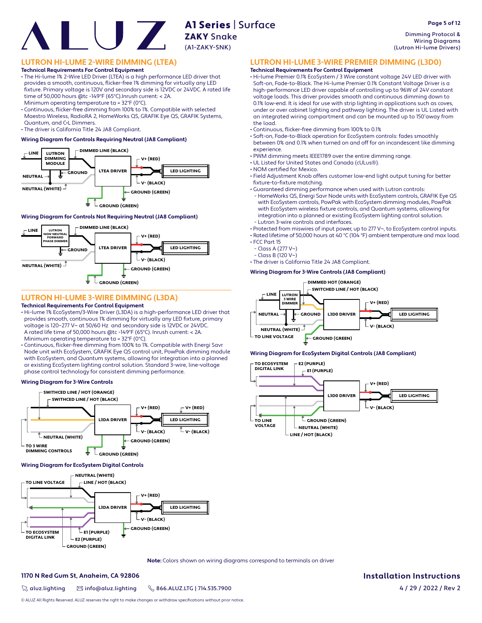# A1 Series | Surface **AI**<br>**ZAKY** Snake

### **LUTRON HI-LUME 2-WIRE DIMMING (LTEA)**

#### **Technical Requirements For Control Equipment**

• The Hi-lume 1% 2-Wire LED Driver (LTEA) is a high performance LED driver that provides a smooth, continuous, flicker-free 1% dimming for virtually any LED fi xture. Primary voltage is 120V and secondary side is 12VDC or 24VDC. A rated life time of 50,000 hours @tc -149°F (65°C).Inrush current: < 2A.

(A1-ZAKY-SNK)

Minimum operating temperature ta = 32°F (0°C).

• Continuous, flicker-free dimming from 100% to 1%. Compatible with selected Maestro Wireless, RadioRA 2, HomeWorks QS, GRAFIK Eye QS, GRAFIK Systems, Quantum, and C•L Dimmers.

• The driver is California Title 24 JA8 Compliant.

#### **Wiring Diagram for Controls Requiring Neutral (JA8 Compliant)**



#### **Wiring Diagram for Controls Not Requiring Neutral (JA8 Compliant)**



#### **LUTRON HI-LUME 3-WIRE DIMMING (L3DA)**

#### **Technical Requirements For Control Equipment**

- Hi-lume 1% EcoSystem/3-Wire Driver (L3DA) is a high-performance LED driver that provides smooth, continuous 1% dimming for virtually any LED fixture, primary voltage is 120–277 V~ at 50/60 Hz and secondary side is 12VDC or 24VDC. A rated life time of 50,000 hours @tc -149°F (65°C). Inrush current: < 2A. Minimum operating temperature ta = 32°F (0°C).
- Continuous, flicker-free dimming from 100% to 1%. Compatible with Energi Savr Node unit with EcoSystem, GRAFIK Eye QS control unit, PowPak dimming module with EcoSystem, and Quantum systems, allowing for integration into a planned or existing EcoSystem lighting control solution. Standard 3-wire, line-voltage phase control technology for consistent dimming performance.

#### **Wiring Diagram for 3-Wire Controls**



#### **Wiring Diagram for EcoSystem Digital Controls**



**Note:** Colors shown on wiring diagrams correspond to terminals on driver

#### **1170 N Red Gum St, Anaheim, CA 92806**

 $\%$  aluz.lighting  $\%$  info@aluz.lighting  $\%$  866.ALUZ.LTG | 714.535.7900

**Installation Instructions**

Wiring Diagrams (Lutron Hi-lume Drivers)

#### **LUTRON HI-LUME 3-WIRE PREMIER DIMMING (L3D0)**

#### **Technical Requirements For Control Equipment**

• Hi-lume Premier 0.1% EcoSystem / 3 Wire constant voltage 24V LED driver with Soft-on, Fade-to-Black. The Hi-lume Premier 0.1% Constant Voltage Driver is a high-performance LED driver capable of controlling up to 96W of 24V constant voltage loads. This driver provides smooth and continuous dimming down to 0.1% low-end. It is ideal for use with strip lighting in applications such as coves, under or over cabinet lighting and pathway lighting. The driver is UL Listed with an integrated wiring compartment and can be mounted up to 150'away from the load.

- Continuous, flicker-free dimming from 100% to 0.1%
- Soft-on, Fade-to-Black operation for EcoSystem controls: fades smoothly between 0% and 0.1% when turned on and off for an incandescent like dimming experience.
- PWM dimming meets IEEE1789 over the entire dimming range.
- UL Listed for United States and Canada (cULus®).
- NOM certified for Mexico.
- Field Adjustment Knob offers customer low-end light output tuning for better fixture-to-fixture matching.
- Guaranteed dimming performance when used with Lutron controls:
- HomeWorks QS, Energi Savr Node units with EcoSystem controls, GRAFIK Eye QS with EcoSystem controls, PowPak with EcoSystem dimming modules, PowPak with EcoSystem wireless fixture controls, and Quantum systems, allowing for integration into a planned or existing EcoSystem lighting control solution. - Lutron 3-wire controls and interfaces.
- Protected from miswires of input power, up to 277 V~, to EcoSystem control inputs.

• Rated lifetime of 50,000 hours at 40 °C (104 °F) ambient temperature and max load. • FCC Part 15

- Class A (277 V~)
- Class B (120 V~)
- The driver is California Title 24 JA8 Compliant.

#### **Wiring Diagram for 3-Wire Controls (JA8 Compliant)**



#### **Wiring Diagram for EcoSystem Digital Controls (JA8 Compliant)**

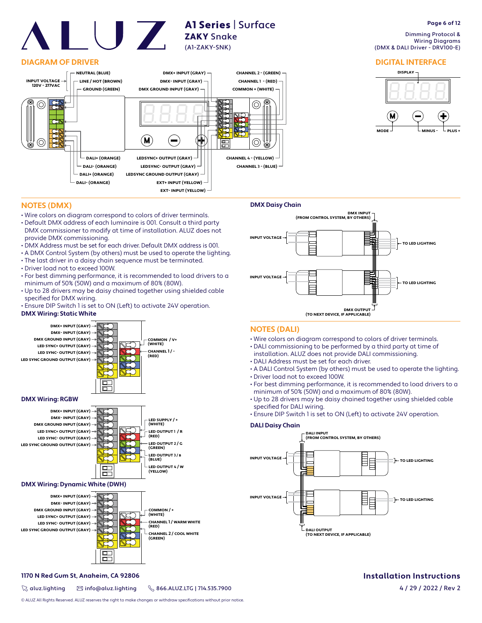#### **DIAGRAM OF DRIVER**



A1 Series | Surface

ZAKY Snake (A1-ZAKY-SNK)

### **Page 6 of 12**

 Dimming Protocol & Wiring Diagrams (DMX & DALI Driver - DRV100-E)

#### **DIGITAL INTERFACE**



#### **NOTES (DMX)**

- Wire colors on diagram correspond to colors of driver terminals.
- Default DMX address of each luminaire is 001. Consult a third party DMX commissioner to modify at time of installation. ALUZ does not provide DMX commissioning.
- DMX Address must be set for each driver. Default DMX address is 001.
- A DMX Control System (by others) must be used to operate the lighting.
- The last driver in a daisy chain sequence must be terminated.
- Driver load not to exceed 100W.
- For best dimming performance, it is recommended to load drivers to a minimum of 50% (50W) and a maximum of 80% (80W).
- Up to 28 drivers may be daisy chained together using shielded cable specified for DMX wiring.
- Ensure DIP Switch 1 is set to ON (Left) to activate 24V operation.

#### **DMX Wiring: Static White**







#### **DMX Wiring: Dynamic White (DWH)**



# **DMX OUTPUT (TO NEXT DEVICE, IF APPLICABLE) DMX INPUT (FROM CONTROL SYSTEM, BY OTHERS) INPUT VOLTAGE INPUT VOLTAGE TO LED LIGHTING TO LED LIGHTING**

#### **NOTES (DALI)**

**DMX Daisy Chain**

- Wire colors on diagram correspond to colors of driver terminals.
- DALI commissioning to be performed by a third party at time of
- installation. ALUZ does not provide DALI commissioning.
- DALI Address must be set for each driver.
- A DALI Control System (by others) must be used to operate the lighting. • Driver load not to exceed 100W.
- For best dimming performance, it is recommended to load drivers to a
- minimum of 50% (50W) and a maximum of 80% (80W). • Up to 28 drivers may be daisy chained together using shielded cable specified for DALI wiring.
- Ensure DIP Switch 1 is set to ON (Left) to activate 24V operation.

#### **DALI Daisy Chain**



#### **1170 N Red Gum St, Anaheim, CA 92806**

 $\%$  aluz.lighting  $\%$  info@aluz.lighting  $\%$  866.ALUZ.LTG | 714.535.7900

© ALUZ All Rights Reserved. ALUZ reserves the right to make changes or withdraw specifications without prior notice.

**Installation Instructions**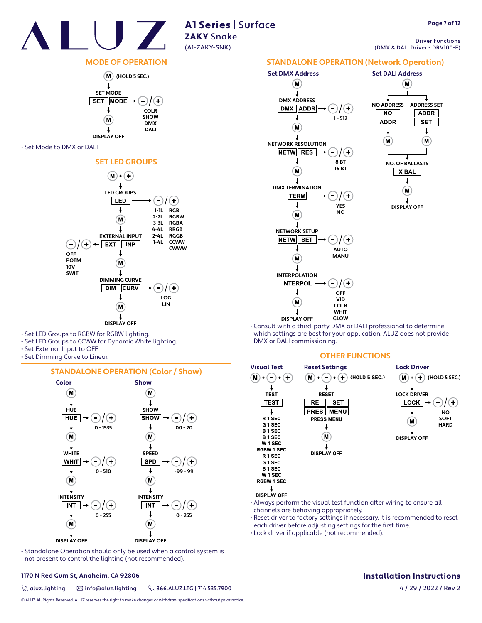

### A1 Series | Surface ZAKY Snake

(A1-ZAKY-SNK)

Driver Functions (DMX & DALI Driver - DRV100-E)

#### **STANDALONE OPERATION (Network Operation)**



• Set Mode to DMX or DALI



- Set LED Groups to RGBW for RGBW lighting.
- Set LED Groups to CCWW for Dynamic White lighting.
- Set External Input to OFF.
- Set Dimming Curve to Linear.

#### **STANDALONE OPERATION (Color / Show)**



• Standalone Operation should only be used when a control system is not present to control the lighting (not recommended).

#### **1170 N Red Gum St, Anaheim, CA 92806**

 $\%$  aluz.lighting  $\%$  info@aluz.lighting  $\%$  866.ALUZ.LTG | 714.535.7900

© ALUZ All Rights Reserved. ALUZ reserves the right to make changes or withdraw specifications without prior notice.



• Consult with a third-party DMX or DALI professional to determine which settings are best for your application. ALUZ does not provide DMX or DALI commissioning.

#### **OTHER FUNCTIONS**



- Always perform the visual test function after wiring to ensure all channels are behaving appropriately.
- Reset driver to factory settings if necessary. It is recommended to reset each driver before adjusting settings for the first time.
- Lock driver if applicable (not recommended).

### **Installation Instructions**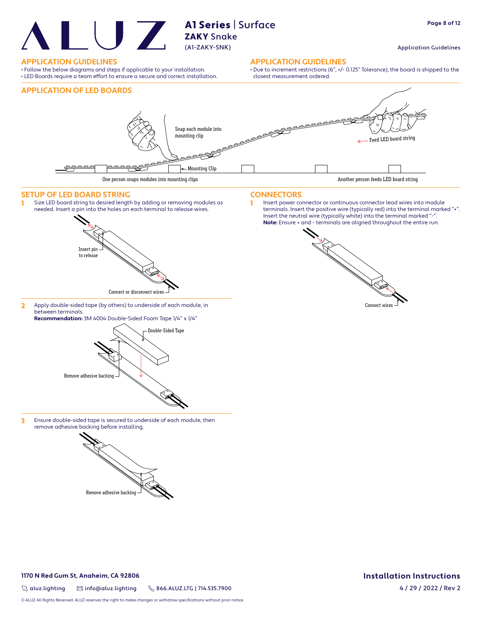**Page 8 of 12**

#### Application Guidelines

#### **APPLICATION GUIDELINES APPLICATION GUIDELINES**

• Follow the below diagrams and steps if applicable to your installation. • LED Boards require a team effort to ensure a secure and correct installation.

• Due to increment restrictions (6", +/- 0.125" Tolerance), the board is shipped to the closest measurement ordered.



**3** Ensure double-sided tape is secured to underside of each module, then remove adhesive backing before installing.



**1170 N Red Gum St, Anaheim, CA 92806**

 $\%$  aluz.lighting  $\%$  info@aluz.lighting  $\%$  866.ALUZ.LTG | 714.535.7900

**Installation Instructions** 4 / 29 / 2022 / Rev 2

© ALUZ All Rights Reserved. ALUZ reserves the right to make changes or withdraw specifications without prior notice.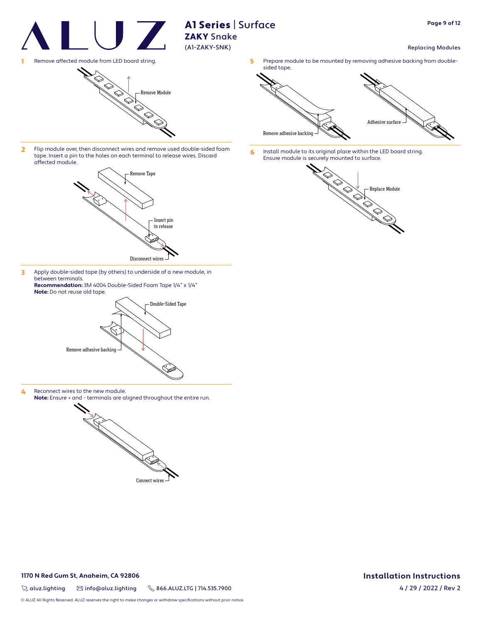

 $\%$  aluz.lighting  $\%$  info@aluz.lighting  $\%$  866.ALUZ.LTG | 714.535.7900

© ALUZ All Rights Reserved. ALUZ reserves the right to make changes or withdraw specifications without prior notice.

# **Installation Instructions**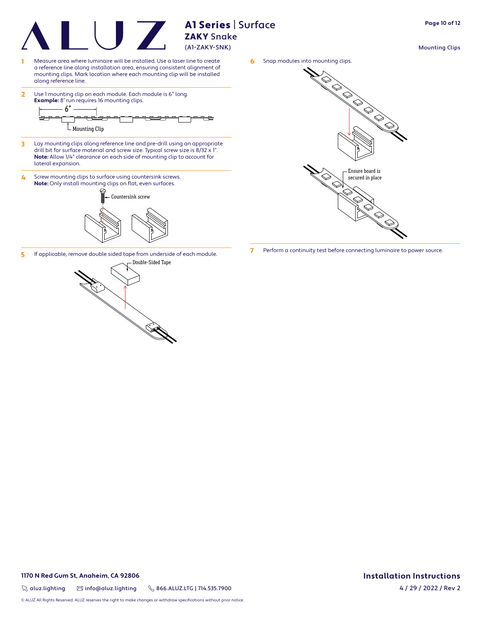- 1 Measure area where luminaire will be installed. Use a laser line to create a reference line along installation area, ensuring consistent alignment of mounting clips. Mark location where each mounting clip will be installed along reference line.
- $6"$ 2 Use 1 mounting clip on each module. Each module is 6" long. **Example:** 8' run requires 16 mounting clips.



- 3 Lay mounting clips along reference line and pre-drill using an appropriate drill bit for surface material and screw size. Typical screw size is 8/32 x 1". **Note:** Allow 1/4" clearance on each side of mounting clip to account for lateral expansion.
- 4 Screw mounting clips to surface using countersink screws. **Note:** Only install mounting clips on flat, even surfaces.



**Collandon** 

Double-Sided Tape **5** If applicable, remove double sided tape from underside of each module. **7** Perform a continuity test before connecting luminaire to power source.





### **Installation Instructions** 4 / 29 / 2022 / Rev 2

**1170 N Red Gum St, Anaheim, CA 92806**

 $\%$  aluz.lighting  $\%$  info@aluz.lighting  $\%$  866.ALUZ.LTG | 714.535.7900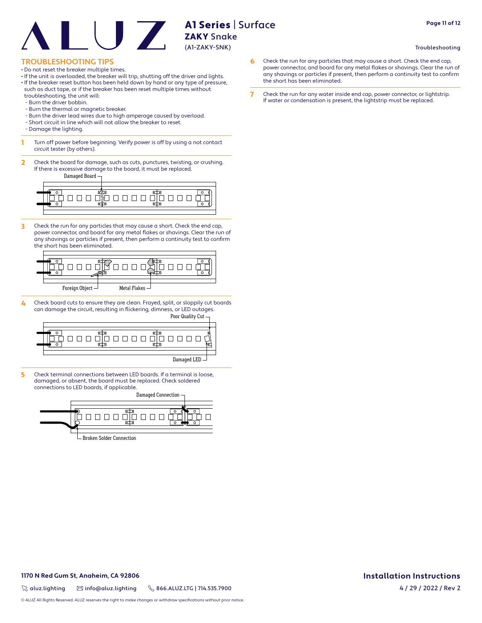# A1 Series | Surface ZAKY Snake

(A1-ZAKY-SNK)

### **TROUBLESHOOTING TIPS**

- Do not reset the breaker multiple times.
- If the unit is overloaded, the breaker will trip, shutting off the driver and lights.
- If the breaker reset button has been held down by hand or any type of pressure, such as duct tape, or if the breaker has been reset multiple times without troubleshooting, the unit will:
- Burn the driver bobbin.
- Burn the thermal or magnetic breaker.
- Burn the driver lead wires due to high amperage caused by overload.
- Short circuit in line which will not allow the breaker to reset.
- Damage the lighting.
- **1** Turn off power before beginning. Verify power is off by using a not contact circuit tester (by others).
- 2 Check the board for damage, such as cuts, punctures, twisting, or crushing. If there is excessive damage to the board, it must be replaced.

Damaged Board



3 Check the run for any particles that may cause a short. Check the end cap, power connector, and board for any metal flakes or shavings. Clear the run of any shavings or particles if present, then perform a continuity test to confirm the short has been eliminated.



4 Check board cuts to ensure they are clean. Frayed, split, or sloppily cut boards can damage the circuit, resulting in flickering, dimness, or LED outages.



5 Check terminal connections between LED boards. If a terminal is loose, damaged, or absent, the board must be replaced. Check soldered connections to LED boards, if applicable.

Damaged Connection 000000000 Broken Solder Connection

- 6 Check the run for any particles that may cause a short. Check the end cap, power connector, and board for any metal flakes or shavings. Clear the run of any shavings or particles if present, then perform a continuity test to confirm the short has been eliminated.
- 7 Check the run for any water inside end cap, power connector, or lightstrip. If water or condensation is present, the lightstrip must be replaced.

Troubleshooting

# **Installation Instructions**

 $\%$  aluz.lighting  $\%$  info@aluz.lighting  $\%$  866.ALUZ.LTG | 714.535.7900

**1170 N Red Gum St, Anaheim, CA 92806**